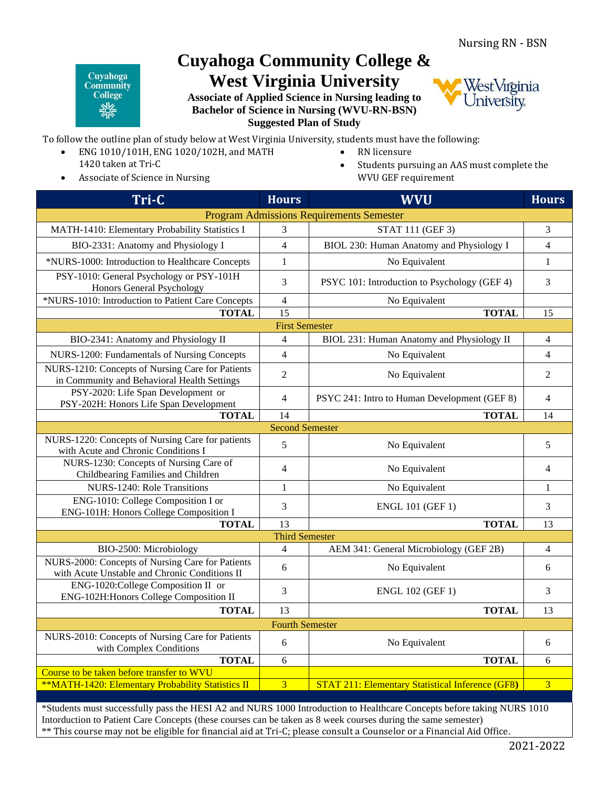## Cuyahoga **Community College** 《송

## **Cuyahoga Community College & West Virginia University**

**Associate of Applied Science in Nursing leading to Bachelor of Science in Nursing (WVU-RN-BSN) Suggested Plan of Study**



To follow the outline plan of study below at West Virginia University, students must have the following:

- ENG 1010/101H, ENG 1020/102H, and MATH 1420 taken at Tri-C
- Associate of Science in Nursing
- RN licensure
- Students pursuing an AAS must complete the WVU GEF requirement

| Tri-C                                                                                             | <b>Hours</b>             | <b>WVU</b>                                              | <b>Hours</b>   |  |
|---------------------------------------------------------------------------------------------------|--------------------------|---------------------------------------------------------|----------------|--|
| <b>Program Admissions Requirements Semester</b>                                                   |                          |                                                         |                |  |
| MATH-1410: Elementary Probability Statistics I                                                    | 3                        | STAT 111 (GEF 3)                                        | 3              |  |
| BIO-2331: Anatomy and Physiology I                                                                | $\overline{4}$           | BIOL 230: Human Anatomy and Physiology I                | $\overline{4}$ |  |
| *NURS-1000: Introduction to Healthcare Concepts                                                   | $\mathbf{1}$             | No Equivalent                                           | $\mathbf{1}$   |  |
| PSY-1010: General Psychology or PSY-101H<br>Honors General Psychology                             | 3                        | PSYC 101: Introduction to Psychology (GEF 4)            | 3              |  |
| *NURS-1010: Introduction to Patient Care Concepts                                                 | $\overline{4}$           | No Equivalent                                           |                |  |
| <b>TOTAL</b>                                                                                      | 15                       | <b>TOTAL</b>                                            | 15             |  |
|                                                                                                   | <b>First Semester</b>    |                                                         |                |  |
| BIO-2341: Anatomy and Physiology II                                                               | $\overline{4}$           | BIOL 231: Human Anatomy and Physiology II               | $\overline{4}$ |  |
| NURS-1200: Fundamentals of Nursing Concepts                                                       | $\overline{4}$           | No Equivalent                                           | $\overline{4}$ |  |
| NURS-1210: Concepts of Nursing Care for Patients<br>in Community and Behavioral Health Settings   | $\mathfrak{2}$           | No Equivalent                                           | $\overline{2}$ |  |
| PSY-2020: Life Span Development or<br>PSY-202H: Honors Life Span Development                      | $\overline{\mathcal{L}}$ | PSYC 241: Intro to Human Development (GEF 8)            | $\overline{4}$ |  |
| <b>TOTAL</b>                                                                                      | 14                       | <b>TOTAL</b>                                            | 14             |  |
|                                                                                                   | <b>Second Semester</b>   |                                                         |                |  |
| NURS-1220: Concepts of Nursing Care for patients<br>with Acute and Chronic Conditions I           | 5                        | No Equivalent                                           | 5              |  |
| NURS-1230: Concepts of Nursing Care of<br>Childbearing Families and Children                      | $\overline{4}$           | No Equivalent                                           | $\overline{4}$ |  |
| NURS-1240: Role Transitions                                                                       | $\mathbf{1}$             | No Equivalent                                           | $\mathbf{1}$   |  |
| ENG-1010: College Composition I or<br>ENG-101H: Honors College Composition I                      | 3                        | <b>ENGL 101 (GEF 1)</b>                                 | 3              |  |
| <b>TOTAL</b>                                                                                      | 13                       | <b>TOTAL</b>                                            | 13             |  |
| <b>Third Semester</b>                                                                             |                          |                                                         |                |  |
| BIO-2500: Microbiology                                                                            | $\overline{4}$           | AEM 341: General Microbiology (GEF 2B)                  | $\overline{4}$ |  |
| NURS-2000: Concepts of Nursing Care for Patients<br>with Acute Unstable and Chronic Conditions II | 6                        | No Equivalent                                           | 6              |  |
| ENG-1020:College Composition II or<br>ENG-102H: Honors College Composition II                     | 3                        | <b>ENGL 102 (GEF 1)</b>                                 | 3              |  |
| <b>TOTAL</b>                                                                                      | 13                       | <b>TOTAL</b>                                            | 13             |  |
| <b>Fourth Semester</b>                                                                            |                          |                                                         |                |  |
| NURS-2010: Concepts of Nursing Care for Patients<br>with Complex Conditions                       | 6                        | No Equivalent                                           | 6              |  |
| <b>TOTAL</b>                                                                                      | 6                        | <b>TOTAL</b>                                            | 6              |  |
| Course to be taken before transfer to WVU                                                         |                          |                                                         |                |  |
| **MATH-1420: Elementary Probability Statistics II                                                 | $\overline{3}$           | <b>STAT 211: Elementary Statistical Inference (GF8)</b> | $\overline{3}$ |  |
|                                                                                                   |                          |                                                         |                |  |

\*Students must successfully pass the HESI A2 and NURS 1000 Introduction to Healthcare Concepts before taking NURS 1010 Intorduction to Patient Care Concepts (these courses can be taken as 8 week courses during the same semester) \*\* This course may not be eligible for financial aid at Tri-C; please consult a Counselor or a Financial Aid Office.